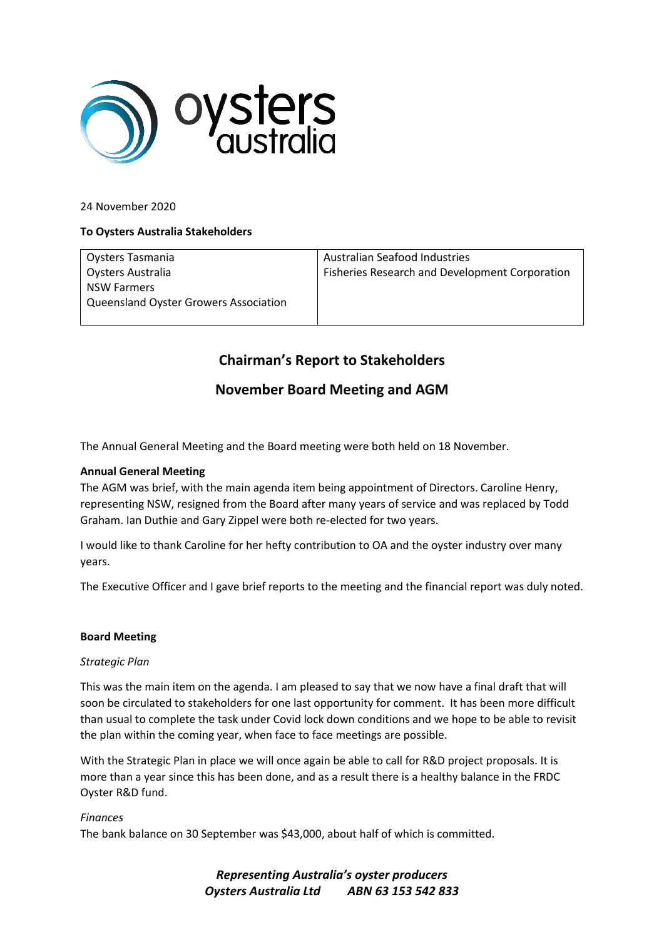

24 November 2020

## **To Oysters Australia Stakeholders**

Oysters Tasmania Oysters Australia NSW Farmers Queensland Oyster Growers Association

Australian Seafood Industries Fisheries Research and Development Corporation

# **Chairman's Report to Stakeholders**

## **November Board Meeting and AGM**

The Annual General Meeting and the Board meeting were both held on 18 November.

## **Annual General Meeting**

The AGM was brief, with the main agenda item being appointment of Directors. Caroline Henry, representing NSW, resigned from the Board after many years of service and was replaced by Todd Graham. Ian Duthie and Gary Zippel were both re-elected for two years.

I would like to thank Caroline for her hefty contribution to OA and the oyster industry over many years.

The Executive Officer and I gave brief reports to the meeting and the financial report was duly noted.

#### **Board Meeting**

#### *Strategic Plan*

This was the main item on the agenda. I am pleased to say that we now have a final draft that will soon be circulated to stakeholders for one last opportunity for comment. It has been more difficult than usual to complete the task under Covid lock down conditions and we hope to be able to revisit the plan within the coming year, when face to face meetings are possible.

With the Strategic Plan in place we will once again be able to call for R&D project proposals. It is more than a year since this has been done, and as a result there is a healthy balance in the FRDC Oyster R&D fund.

#### *Finances*

The bank balance on 30 September was \$43,000, about half of which is committed.

*Representing Australia's oyster producers Oysters Australia Ltd ABN 63 153 542 833*